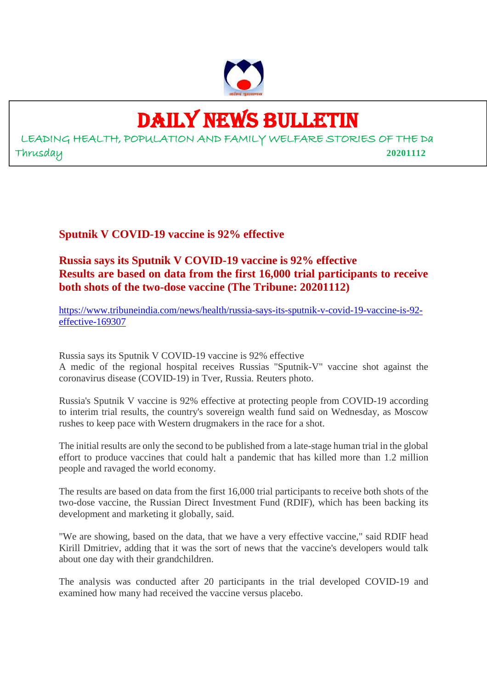

# DAILY NEWS BULLETIN

LEADING HEALTH, POPULATION AND FAMILY WELFARE STORIES OF THE Da Thrusday **20201112**

**Sputnik V COVID-19 vaccine is 92% effective**

## **Russia says its Sputnik V COVID-19 vaccine is 92% effective Results are based on data from the first 16,000 trial participants to receive both shots of the two-dose vaccine (The Tribune: 20201112)**

https://www.tribuneindia.com/news/health/russia-says-its-sputnik-v-covid-19-vaccine-is-92 effective-169307

Russia says its Sputnik V COVID-19 vaccine is 92% effective A medic of the regional hospital receives Russias "Sputnik-V" vaccine shot against the coronavirus disease (COVID-19) in Tver, Russia. Reuters photo.

Russia's Sputnik V vaccine is 92% effective at protecting people from COVID-19 according to interim trial results, the country's sovereign wealth fund said on Wednesday, as Moscow rushes to keep pace with Western drugmakers in the race for a shot.

The initial results are only the second to be published from a late-stage human trial in the global effort to produce vaccines that could halt a pandemic that has killed more than 1.2 million people and ravaged the world economy.

The results are based on data from the first 16,000 trial participants to receive both shots of the two-dose vaccine, the Russian Direct Investment Fund (RDIF), which has been backing its development and marketing it globally, said.

"We are showing, based on the data, that we have a very effective vaccine," said RDIF head Kirill Dmitriev, adding that it was the sort of news that the vaccine's developers would talk about one day with their grandchildren.

The analysis was conducted after 20 participants in the trial developed COVID-19 and examined how many had received the vaccine versus placebo.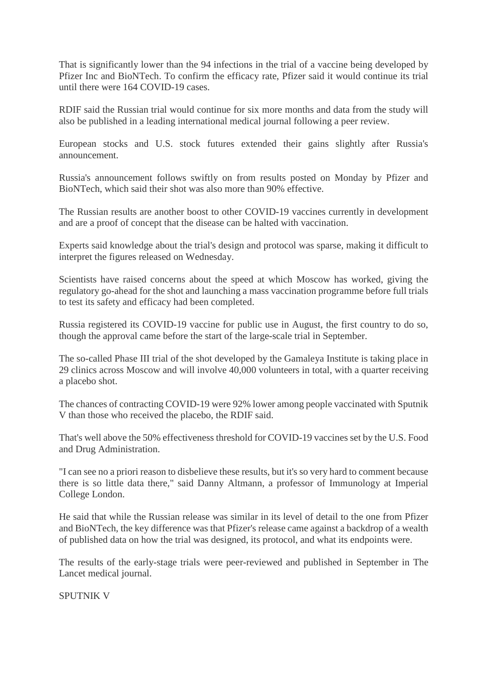That is significantly lower than the 94 infections in the trial of a vaccine being developed by Pfizer Inc and BioNTech. To confirm the efficacy rate, Pfizer said it would continue its trial until there were 164 COVID-19 cases.

RDIF said the Russian trial would continue for six more months and data from the study will also be published in a leading international medical journal following a peer review.

European stocks and U.S. stock futures extended their gains slightly after Russia's announcement.

Russia's announcement follows swiftly on from results posted on Monday by Pfizer and BioNTech, which said their shot was also more than 90% effective.

The Russian results are another boost to other COVID-19 vaccines currently in development and are a proof of concept that the disease can be halted with vaccination.

Experts said knowledge about the trial's design and protocol was sparse, making it difficult to interpret the figures released on Wednesday.

Scientists have raised concerns about the speed at which Moscow has worked, giving the regulatory go-ahead for the shot and launching a mass vaccination programme before full trials to test its safety and efficacy had been completed.

Russia registered its COVID-19 vaccine for public use in August, the first country to do so, though the approval came before the start of the large-scale trial in September.

The so-called Phase III trial of the shot developed by the Gamaleya Institute is taking place in 29 clinics across Moscow and will involve 40,000 volunteers in total, with a quarter receiving a placebo shot.

The chances of contracting COVID-19 were 92% lower among people vaccinated with Sputnik V than those who received the placebo, the RDIF said.

That's well above the 50% effectiveness threshold for COVID-19 vaccines set by the U.S. Food and Drug Administration.

"I can see no a priori reason to disbelieve these results, but it's so very hard to comment because there is so little data there," said Danny Altmann, a professor of Immunology at Imperial College London.

He said that while the Russian release was similar in its level of detail to the one from Pfizer and BioNTech, the key difference was that Pfizer's release came against a backdrop of a wealth of published data on how the trial was designed, its protocol, and what its endpoints were.

The results of the early-stage trials were peer-reviewed and published in September in The Lancet medical journal.

SPUTNIK V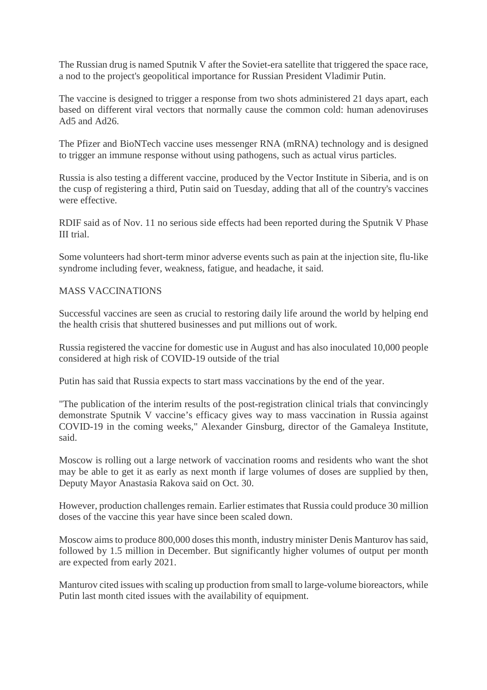The Russian drug is named Sputnik V after the Soviet-era satellite that triggered the space race, a nod to the project's geopolitical importance for Russian President Vladimir Putin.

The vaccine is designed to trigger a response from two shots administered 21 days apart, each based on different viral vectors that normally cause the common cold: human adenoviruses Ad5 and Ad26.

The Pfizer and BioNTech vaccine uses messenger RNA (mRNA) technology and is designed to trigger an immune response without using pathogens, such as actual virus particles.

Russia is also testing a different vaccine, produced by the Vector Institute in Siberia, and is on the cusp of registering a third, Putin said on Tuesday, adding that all of the country's vaccines were effective.

RDIF said as of Nov. 11 no serious side effects had been reported during the Sputnik V Phase III trial.

Some volunteers had short-term minor adverse events such as pain at the injection site, flu-like syndrome including fever, weakness, fatigue, and headache, it said.

#### MASS VACCINATIONS

Successful vaccines are seen as crucial to restoring daily life around the world by helping end the health crisis that shuttered businesses and put millions out of work.

Russia registered the vaccine for domestic use in August and has also inoculated 10,000 people considered at high risk of COVID-19 outside of the trial

Putin has said that Russia expects to start mass vaccinations by the end of the year.

"The publication of the interim results of the post-registration clinical trials that convincingly demonstrate Sputnik V vaccine's efficacy gives way to mass vaccination in Russia against COVID-19 in the coming weeks," Alexander Ginsburg, director of the Gamaleya Institute, said.

Moscow is rolling out a large network of vaccination rooms and residents who want the shot may be able to get it as early as next month if large volumes of doses are supplied by then, Deputy Mayor Anastasia Rakova said on Oct. 30.

However, production challenges remain. Earlier estimates that Russia could produce 30 million doses of the vaccine this year have since been scaled down.

Moscow aims to produce 800,000 doses this month, industry minister Denis Manturov has said, followed by 1.5 million in December. But significantly higher volumes of output per month are expected from early 2021.

Manturov cited issues with scaling up production from small to large-volume bioreactors, while Putin last month cited issues with the availability of equipment.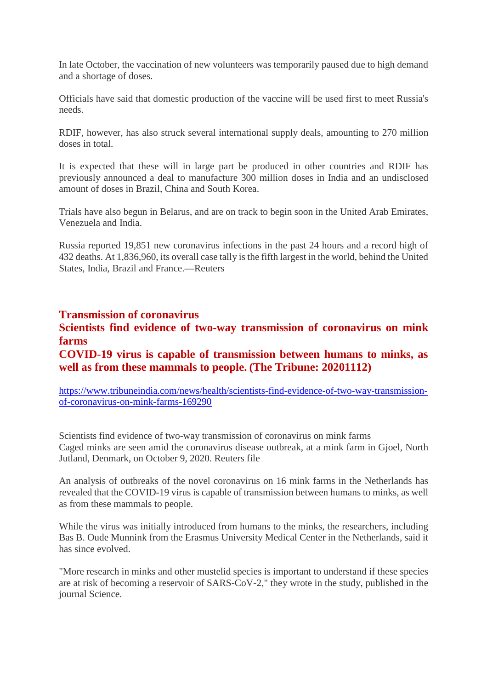In late October, the vaccination of new volunteers was temporarily paused due to high demand and a shortage of doses.

Officials have said that domestic production of the vaccine will be used first to meet Russia's needs.

RDIF, however, has also struck several international supply deals, amounting to 270 million doses in total.

It is expected that these will in large part be produced in other countries and RDIF has previously announced a deal to manufacture 300 million doses in India and an undisclosed amount of doses in Brazil, China and South Korea.

Trials have also begun in Belarus, and are on track to begin soon in the United Arab Emirates, Venezuela and India.

Russia reported 19,851 new coronavirus infections in the past 24 hours and a record high of 432 deaths. At 1,836,960, its overall case tally is the fifth largest in the world, behind the United States, India, Brazil and France.—Reuters

#### **Transmission of coronavirus**

#### **Scientists find evidence of two-way transmission of coronavirus on mink farms**

#### **COVID-19 virus is capable of transmission between humans to minks, as well as from these mammals to people. (The Tribune: 20201112)**

https://www.tribuneindia.com/news/health/scientists-find-evidence-of-two-way-transmissionof-coronavirus-on-mink-farms-169290

Scientists find evidence of two-way transmission of coronavirus on mink farms Caged minks are seen amid the coronavirus disease outbreak, at a mink farm in Gjoel, North Jutland, Denmark, on October 9, 2020. Reuters file

An analysis of outbreaks of the novel coronavirus on 16 mink farms in the Netherlands has revealed that the COVID-19 virus is capable of transmission between humans to minks, as well as from these mammals to people.

While the virus was initially introduced from humans to the minks, the researchers, including Bas B. Oude Munnink from the Erasmus University Medical Center in the Netherlands, said it has since evolved.

"More research in minks and other mustelid species is important to understand if these species are at risk of becoming a reservoir of SARS-CoV-2," they wrote in the study, published in the journal Science.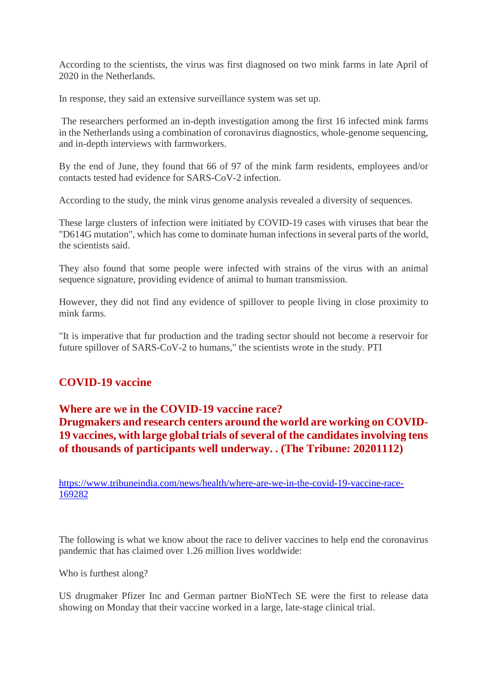According to the scientists, the virus was first diagnosed on two mink farms in late April of 2020 in the Netherlands.

In response, they said an extensive surveillance system was set up.

The researchers performed an in-depth investigation among the first 16 infected mink farms in the Netherlands using a combination of coronavirus diagnostics, whole-genome sequencing, and in-depth interviews with farmworkers.

By the end of June, they found that 66 of 97 of the mink farm residents, employees and/or contacts tested had evidence for SARS-CoV-2 infection.

According to the study, the mink virus genome analysis revealed a diversity of sequences.

These large clusters of infection were initiated by COVID-19 cases with viruses that bear the "D614G mutation", which has come to dominate human infections in several parts of the world, the scientists said.

They also found that some people were infected with strains of the virus with an animal sequence signature, providing evidence of animal to human transmission.

However, they did not find any evidence of spillover to people living in close proximity to mink farms.

"It is imperative that fur production and the trading sector should not become a reservoir for future spillover of SARS-CoV-2 to humans," the scientists wrote in the study. PTI

## **COVID-19 vaccine**

#### **Where are we in the COVID-19 vaccine race?**

**Drugmakers and research centers around the world are working on COVID-19 vaccines, with large global trials of several of the candidates involving tens of thousands of participants well underway. . (The Tribune: 20201112)**

https://www.tribuneindia.com/news/health/where-are-we-in-the-covid-19-vaccine-race-169282

The following is what we know about the race to deliver vaccines to help end the coronavirus pandemic that has claimed over 1.26 million lives worldwide:

Who is furthest along?

US drugmaker Pfizer Inc and German partner BioNTech SE were the first to release data showing on Monday that their vaccine worked in a large, late-stage clinical trial.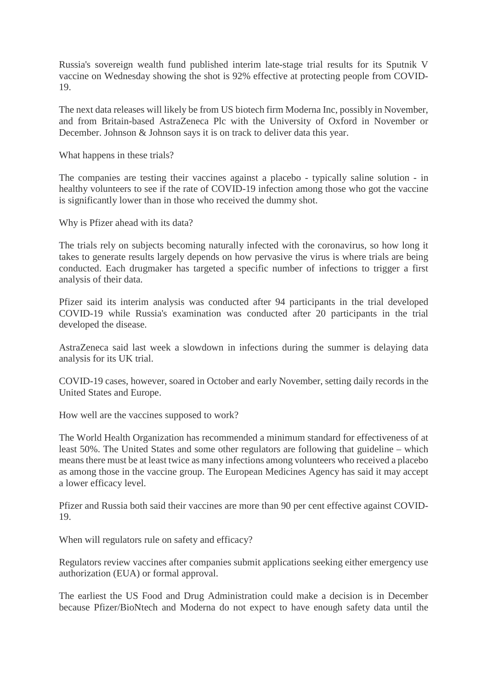Russia's sovereign wealth fund published interim late-stage trial results for its Sputnik V vaccine on Wednesday showing the shot is 92% effective at protecting people from COVID-19.

The next data releases will likely be from US biotech firm Moderna Inc, possibly in November, and from Britain-based AstraZeneca Plc with the University of Oxford in November or December. Johnson & Johnson says it is on track to deliver data this year.

What happens in these trials?

The companies are testing their vaccines against a placebo - typically saline solution - in healthy volunteers to see if the rate of COVID-19 infection among those who got the vaccine is significantly lower than in those who received the dummy shot.

Why is Pfizer ahead with its data?

The trials rely on subjects becoming naturally infected with the coronavirus, so how long it takes to generate results largely depends on how pervasive the virus is where trials are being conducted. Each drugmaker has targeted a specific number of infections to trigger a first analysis of their data.

Pfizer said its interim analysis was conducted after 94 participants in the trial developed COVID-19 while Russia's examination was conducted after 20 participants in the trial developed the disease.

AstraZeneca said last week a slowdown in infections during the summer is delaying data analysis for its UK trial.

COVID-19 cases, however, soared in October and early November, setting daily records in the United States and Europe.

How well are the vaccines supposed to work?

The World Health Organization has recommended a minimum standard for effectiveness of at least 50%. The United States and some other regulators are following that guideline – which means there must be at least twice as many infections among volunteers who received a placebo as among those in the vaccine group. The European Medicines Agency has said it may accept a lower efficacy level.

Pfizer and Russia both said their vaccines are more than 90 per cent effective against COVID-19.

When will regulators rule on safety and efficacy?

Regulators review vaccines after companies submit applications seeking either emergency use authorization (EUA) or formal approval.

The earliest the US Food and Drug Administration could make a decision is in December because Pfizer/BioNtech and Moderna do not expect to have enough safety data until the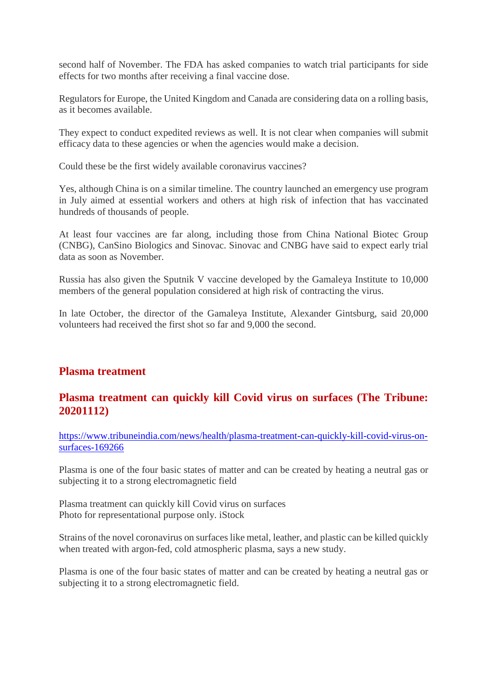second half of November. The FDA has asked companies to watch trial participants for side effects for two months after receiving a final vaccine dose.

Regulators for Europe, the United Kingdom and Canada are considering data on a rolling basis, as it becomes available.

They expect to conduct expedited reviews as well. It is not clear when companies will submit efficacy data to these agencies or when the agencies would make a decision.

Could these be the first widely available coronavirus vaccines?

Yes, although China is on a similar timeline. The country launched an emergency use program in July aimed at essential workers and others at high risk of infection that has vaccinated hundreds of thousands of people.

At least four vaccines are far along, including those from China National Biotec Group (CNBG), CanSino Biologics and Sinovac. Sinovac and CNBG have said to expect early trial data as soon as November.

Russia has also given the Sputnik V vaccine developed by the Gamaleya Institute to 10,000 members of the general population considered at high risk of contracting the virus.

In late October, the director of the Gamaleya Institute, Alexander Gintsburg, said 20,000 volunteers had received the first shot so far and 9,000 the second.

## **Plasma treatment**

## **Plasma treatment can quickly kill Covid virus on surfaces (The Tribune: 20201112)**

https://www.tribuneindia.com/news/health/plasma-treatment-can-quickly-kill-covid-virus-onsurfaces-169266

Plasma is one of the four basic states of matter and can be created by heating a neutral gas or subjecting it to a strong electromagnetic field

Plasma treatment can quickly kill Covid virus on surfaces Photo for representational purpose only. iStock

Strains of the novel coronavirus on surfaces like metal, leather, and plastic can be killed quickly when treated with argon-fed, cold atmospheric plasma, says a new study.

Plasma is one of the four basic states of matter and can be created by heating a neutral gas or subjecting it to a strong electromagnetic field.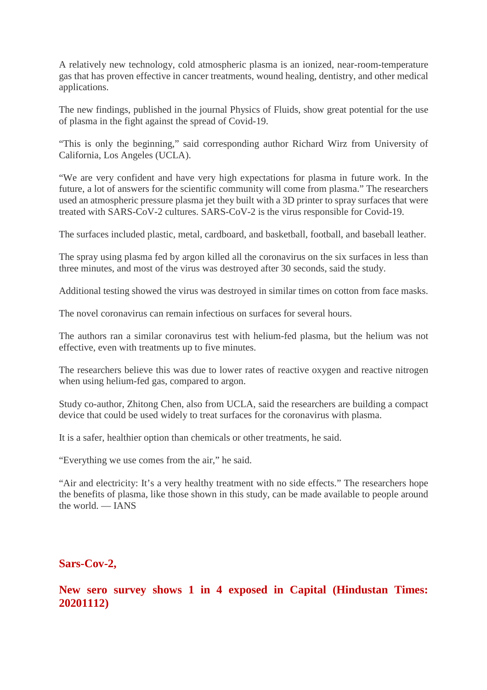A relatively new technology, cold atmospheric plasma is an ionized, near-room-temperature gas that has proven effective in cancer treatments, wound healing, dentistry, and other medical applications.

The new findings, published in the journal Physics of Fluids, show great potential for the use of plasma in the fight against the spread of Covid-19.

"This is only the beginning," said corresponding author Richard Wirz from University of California, Los Angeles (UCLA).

"We are very confident and have very high expectations for plasma in future work. In the future, a lot of answers for the scientific community will come from plasma." The researchers used an atmospheric pressure plasma jet they built with a 3D printer to spray surfaces that were treated with SARS-CoV-2 cultures. SARS-CoV-2 is the virus responsible for Covid-19.

The surfaces included plastic, metal, cardboard, and basketball, football, and baseball leather.

The spray using plasma fed by argon killed all the coronavirus on the six surfaces in less than three minutes, and most of the virus was destroyed after 30 seconds, said the study.

Additional testing showed the virus was destroyed in similar times on cotton from face masks.

The novel coronavirus can remain infectious on surfaces for several hours.

The authors ran a similar coronavirus test with helium-fed plasma, but the helium was not effective, even with treatments up to five minutes.

The researchers believe this was due to lower rates of reactive oxygen and reactive nitrogen when using helium-fed gas, compared to argon.

Study co-author, Zhitong Chen, also from UCLA, said the researchers are building a compact device that could be used widely to treat surfaces for the coronavirus with plasma.

It is a safer, healthier option than chemicals or other treatments, he said.

"Everything we use comes from the air," he said.

"Air and electricity: It's a very healthy treatment with no side effects." The researchers hope the benefits of plasma, like those shown in this study, can be made available to people around the world. — IANS

#### **Sars-Cov-2,**

**New sero survey shows 1 in 4 exposed in Capital (Hindustan Times: 20201112)**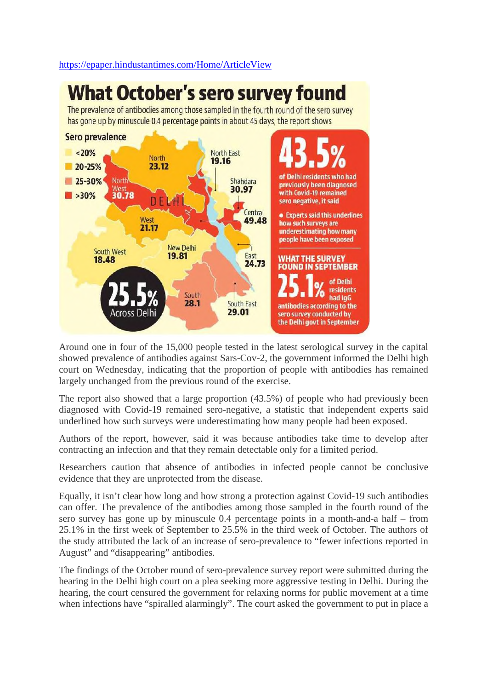#### https://epaper.hindustantimes.com/Home/ArticleView

# **What October's sero survey found**

The prevalence of antibodies among those sampled in the fourth round of the sero survey has gone up by minuscule 0.4 percentage points in about 45 days, the report shows



Around one in four of the 15,000 people tested in the latest serological survey in the capital showed prevalence of antibodies against Sars-Cov-2, the government informed the Delhi high court on Wednesday, indicating that the proportion of people with antibodies has remained largely unchanged from the previous round of the exercise.

The report also showed that a large proportion (43.5%) of people who had previously been diagnosed with Covid-19 remained sero-negative, a statistic that independent experts said underlined how such surveys were underestimating how many people had been exposed.

Authors of the report, however, said it was because antibodies take time to develop after contracting an infection and that they remain detectable only for a limited period.

Researchers caution that absence of antibodies in infected people cannot be conclusive evidence that they are unprotected from the disease.

Equally, it isn't clear how long and how strong a protection against Covid-19 such antibodies can offer. The prevalence of the antibodies among those sampled in the fourth round of the sero survey has gone up by minuscule 0.4 percentage points in a month-and-a half – from 25.1% in the first week of September to 25.5% in the third week of October. The authors of the study attributed the lack of an increase of sero-prevalence to "fewer infections reported in August" and "disappearing" antibodies.

The findings of the October round of sero-prevalence survey report were submitted during the hearing in the Delhi high court on a plea seeking more aggressive testing in Delhi. During the hearing, the court censured the government for relaxing norms for public movement at a time when infections have "spiralled alarmingly". The court asked the government to put in place a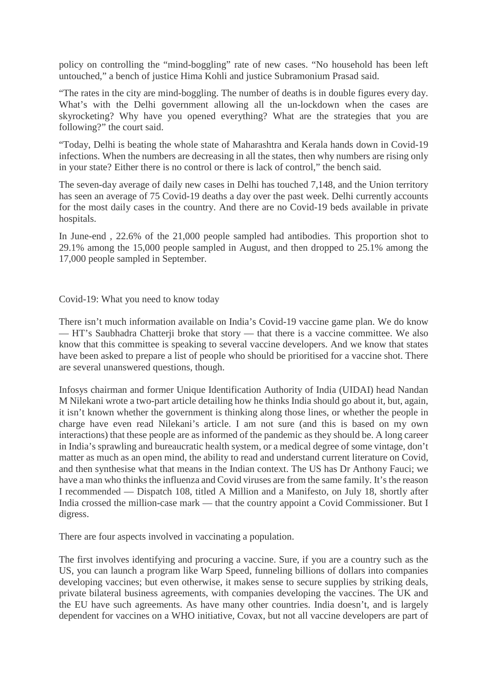policy on controlling the "mind-boggling" rate of new cases. "No household has been left untouched," a bench of justice Hima Kohli and justice Subramonium Prasad said.

"The rates in the city are mind-boggling. The number of deaths is in double figures every day. What's with the Delhi government allowing all the un-lockdown when the cases are skyrocketing? Why have you opened everything? What are the strategies that you are following?" the court said.

"Today, Delhi is beating the whole state of Maharashtra and Kerala hands down in Covid-19 infections. When the numbers are decreasing in all the states, then why numbers are rising only in your state? Either there is no control or there is lack of control," the bench said.

The seven-day average of daily new cases in Delhi has touched 7,148, and the Union territory has seen an average of 75 Covid-19 deaths a day over the past week. Delhi currently accounts for the most daily cases in the country. And there are no Covid-19 beds available in private hospitals.

In June-end , 22.6% of the 21,000 people sampled had antibodies. This proportion shot to 29.1% among the 15,000 people sampled in August, and then dropped to 25.1% among the 17,000 people sampled in September.

Covid-19: What you need to know today

There isn't much information available on India's Covid-19 vaccine game plan. We do know — HT's Saubhadra Chatterji broke that story — that there is a vaccine committee. We also know that this committee is speaking to several vaccine developers. And we know that states have been asked to prepare a list of people who should be prioritised for a vaccine shot. There are several unanswered questions, though.

Infosys chairman and former Unique Identification Authority of India (UIDAI) head Nandan M Nilekani wrote a two-part article detailing how he thinks India should go about it, but, again, it isn't known whether the government is thinking along those lines, or whether the people in charge have even read Nilekani's article. I am not sure (and this is based on my own interactions) that these people are as informed of the pandemic as they should be. A long career in India's sprawling and bureaucratic health system, or a medical degree of some vintage, don't matter as much as an open mind, the ability to read and understand current literature on Covid, and then synthesise what that means in the Indian context. The US has Dr Anthony Fauci; we have a man who thinks the influenza and Covid viruses are from the same family. It's the reason I recommended — Dispatch 108, titled A Million and a Manifesto, on July 18, shortly after India crossed the million-case mark — that the country appoint a Covid Commissioner. But I digress.

There are four aspects involved in vaccinating a population.

The first involves identifying and procuring a vaccine. Sure, if you are a country such as the US, you can launch a program like Warp Speed, funneling billions of dollars into companies developing vaccines; but even otherwise, it makes sense to secure supplies by striking deals, private bilateral business agreements, with companies developing the vaccines. The UK and the EU have such agreements. As have many other countries. India doesn't, and is largely dependent for vaccines on a WHO initiative, Covax, but not all vaccine developers are part of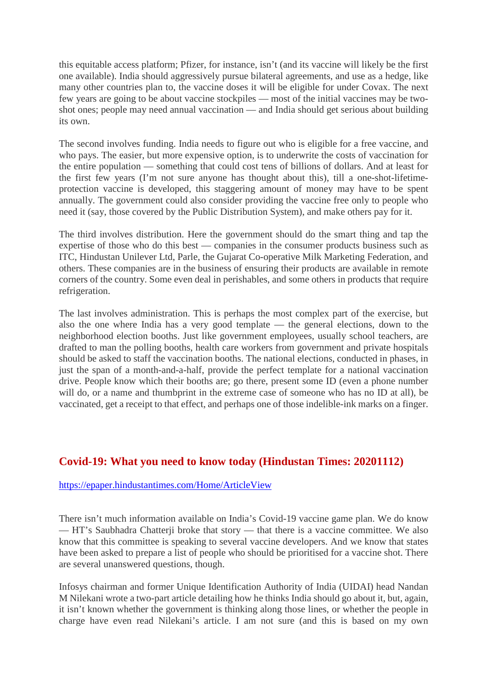this equitable access platform; Pfizer, for instance, isn't (and its vaccine will likely be the first one available). India should aggressively pursue bilateral agreements, and use as a hedge, like many other countries plan to, the vaccine doses it will be eligible for under Covax. The next few years are going to be about vaccine stockpiles — most of the initial vaccines may be twoshot ones; people may need annual vaccination — and India should get serious about building its own.

The second involves funding. India needs to figure out who is eligible for a free vaccine, and who pays. The easier, but more expensive option, is to underwrite the costs of vaccination for the entire population — something that could cost tens of billions of dollars. And at least for the first few years (I'm not sure anyone has thought about this), till a one-shot-lifetimeprotection vaccine is developed, this staggering amount of money may have to be spent annually. The government could also consider providing the vaccine free only to people who need it (say, those covered by the Public Distribution System), and make others pay for it.

The third involves distribution. Here the government should do the smart thing and tap the expertise of those who do this best — companies in the consumer products business such as ITC, Hindustan Unilever Ltd, Parle, the Gujarat Co-operative Milk Marketing Federation, and others. These companies are in the business of ensuring their products are available in remote corners of the country. Some even deal in perishables, and some others in products that require refrigeration.

The last involves administration. This is perhaps the most complex part of the exercise, but also the one where India has a very good template — the general elections, down to the neighborhood election booths. Just like government employees, usually school teachers, are drafted to man the polling booths, health care workers from government and private hospitals should be asked to staff the vaccination booths. The national elections, conducted in phases, in just the span of a month-and-a-half, provide the perfect template for a national vaccination drive. People know which their booths are; go there, present some ID (even a phone number will do, or a name and thumbprint in the extreme case of someone who has no ID at all), be vaccinated, get a receipt to that effect, and perhaps one of those indelible-ink marks on a finger.

# **Covid-19: What you need to know today (Hindustan Times: 20201112)**

#### https://epaper.hindustantimes.com/Home/ArticleView

There isn't much information available on India's Covid-19 vaccine game plan. We do know — HT's Saubhadra Chatterji broke that story — that there is a vaccine committee. We also know that this committee is speaking to several vaccine developers. And we know that states have been asked to prepare a list of people who should be prioritised for a vaccine shot. There are several unanswered questions, though.

Infosys chairman and former Unique Identification Authority of India (UIDAI) head Nandan M Nilekani wrote a two-part article detailing how he thinks India should go about it, but, again, it isn't known whether the government is thinking along those lines, or whether the people in charge have even read Nilekani's article. I am not sure (and this is based on my own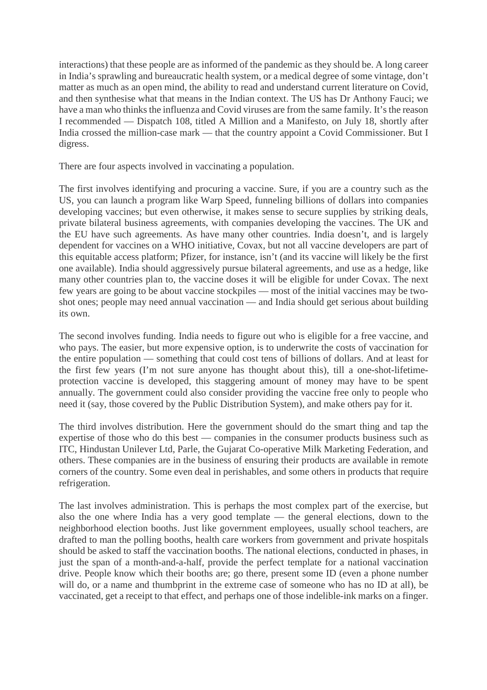interactions) that these people are as informed of the pandemic as they should be. A long career in India's sprawling and bureaucratic health system, or a medical degree of some vintage, don't matter as much as an open mind, the ability to read and understand current literature on Covid, and then synthesise what that means in the Indian context. The US has Dr Anthony Fauci; we have a man who thinks the influenza and Covid viruses are from the same family. It's the reason I recommended — Dispatch 108, titled A Million and a Manifesto, on July 18, shortly after India crossed the million-case mark — that the country appoint a Covid Commissioner. But I digress.

There are four aspects involved in vaccinating a population.

The first involves identifying and procuring a vaccine. Sure, if you are a country such as the US, you can launch a program like Warp Speed, funneling billions of dollars into companies developing vaccines; but even otherwise, it makes sense to secure supplies by striking deals, private bilateral business agreements, with companies developing the vaccines. The UK and the EU have such agreements. As have many other countries. India doesn't, and is largely dependent for vaccines on a WHO initiative, Covax, but not all vaccine developers are part of this equitable access platform; Pfizer, for instance, isn't (and its vaccine will likely be the first one available). India should aggressively pursue bilateral agreements, and use as a hedge, like many other countries plan to, the vaccine doses it will be eligible for under Covax. The next few years are going to be about vaccine stockpiles — most of the initial vaccines may be twoshot ones; people may need annual vaccination — and India should get serious about building its own.

The second involves funding. India needs to figure out who is eligible for a free vaccine, and who pays. The easier, but more expensive option, is to underwrite the costs of vaccination for the entire population — something that could cost tens of billions of dollars. And at least for the first few years (I'm not sure anyone has thought about this), till a one-shot-lifetimeprotection vaccine is developed, this staggering amount of money may have to be spent annually. The government could also consider providing the vaccine free only to people who need it (say, those covered by the Public Distribution System), and make others pay for it.

The third involves distribution. Here the government should do the smart thing and tap the expertise of those who do this best — companies in the consumer products business such as ITC, Hindustan Unilever Ltd, Parle, the Gujarat Co-operative Milk Marketing Federation, and others. These companies are in the business of ensuring their products are available in remote corners of the country. Some even deal in perishables, and some others in products that require refrigeration.

The last involves administration. This is perhaps the most complex part of the exercise, but also the one where India has a very good template — the general elections, down to the neighborhood election booths. Just like government employees, usually school teachers, are drafted to man the polling booths, health care workers from government and private hospitals should be asked to staff the vaccination booths. The national elections, conducted in phases, in just the span of a month-and-a-half, provide the perfect template for a national vaccination drive. People know which their booths are; go there, present some ID (even a phone number will do, or a name and thumbprint in the extreme case of someone who has no ID at all), be vaccinated, get a receipt to that effect, and perhaps one of those indelible-ink marks on a finger.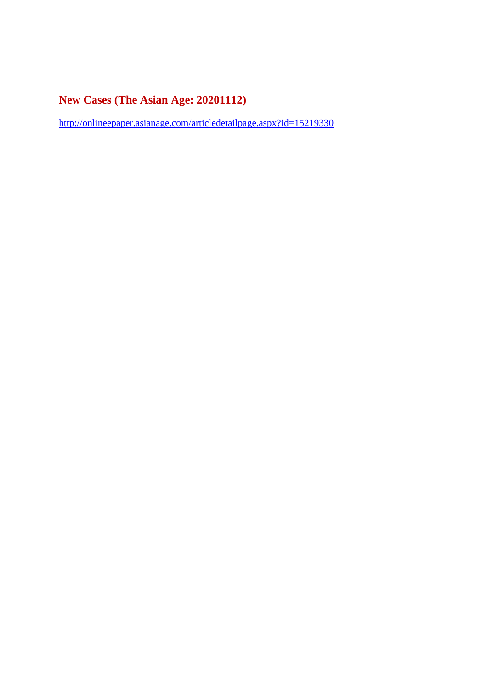# **New Cases (The Asian Age: 20201112)**

http://onlineepaper.asianage.com/articledetailpage.aspx?id=15219330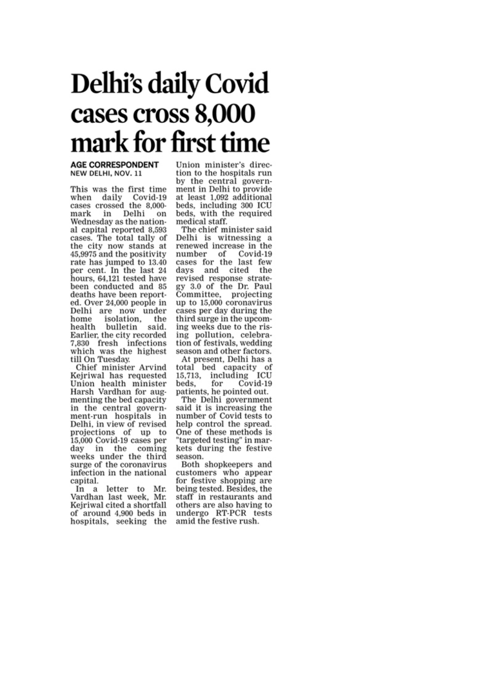# **Delhi's daily Covid** cases cross 8,000 mark for first time

#### **AGE CORRESPONDENT** NEW DELHI, NOV. 11

This was the first time when daily Covid-19 cases crossed the 8,000in Delhi mark on Wednesday as the national capital reported 8,593 cases. The total tally of the city now stands at 45,9975 and the positivity rate has jumped to 13.40 per cent. In the last 24 hours, 64,121 tested have been conducted and 85 deaths have been reported. Over 24,000 people in Delhi are now under home isolation, the health bulletin said. Earlier, the city recorded 7,830 fresh infections which was the highest till On Tuesday.

Chief minister Arvind Kejriwal has requested Union health minister Harsh Vardhan for augmenting the bed capacity in the central government-run hospitals in Delhi, in view of revised projections of up to 15,000 Covid-19 cases per day in the coming weeks under the third surge of the coronavirus infection in the national capital.

In a letter to Mr.<br>Vardhan last week, Mr. Kejriwal cited a shortfall of around 4,900 beds in hospitals, seeking the

Union minister's direction to the hospitals run by the central government in Delhi to provide at least 1,092 additional beds, including 300 ICU beds, with the required medical staff.

The chief minister said Delhi is witnessing a renewed increase in the number of Covid-19<br>cases for the last few days and cited the revised response strategy 3.0 of the Dr. Paul Committee, projecting up to 15,000 coronavirus cases per day during the third surge in the upcoming weeks due to the rising pollution, celebration of festivals, wedding season and other factors.

At present, Delhi has a total bed capacity of<br>15,713, including ICU for  $Covid-19$ beds. patients, he pointed out.

The Delhi government said it is increasing the number of Covid tests to help control the spread. One of these methods is 'targeted testing" in markets during the festive season.

Both shopkeepers and customers who appear for festive shopping are being tested. Besides, the staff in restaurants and others are also having to undergo RT-PCR tests amid the festive rush.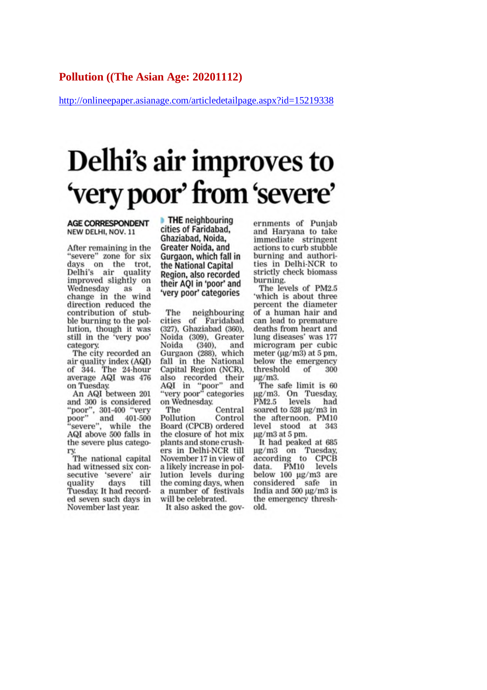#### **Pollution ((The Asian Age: 20201112)**

http://onlineepaper.asianage.com/articledetailpage.aspx?id=15219338

# Delhi's air improves to 'very poor' from 'severe'

**AGE CORRESPONDENT** NEW DELHI, NOV. 11

After remaining in the "severe" zone for six days on the trot, Delhi's air quality improved slightly on Wednesday as - a change in the wind direction reduced the contribution of stubble burning to the pollution, though it was still in the 'very poo' category.

The city recorded an air quality index (AQI) of 344. The 24-hour average AQI was 476 on Tuesday.

An AQI between 201 and 300 is considered "poor", 301-400 "very<br>poor" and 401-500<br>"severe", while the AQI above 500 falls in the severe plus catego-

ry<br>The national capital had witnessed six consecutive 'severe' air quality days till Tuesday. It had recorded seven such days in November last year.

**THE neighbouring** cities of Faridabad. Ghaziabad, Noida, Greater Noida, and Gurgaon, which fall in the National Capital Region, also recorded their AOI in 'poor' and 'very poor' categories

The neighbouring cities of Faridabad (327), Ghaziabad (360). Noida (309), Greater Noida  $(340)$ , and Gurgaon (288), which fall in the National Capital Region (NCR), also recorded their<br>AQI in "poor" and<br>"very poor" categories on Wednesday.

The Central Pollution Control Board (CPCB) ordered the closure of hot mix plants and stone crushers in Delhi-NCR till November 17 in view of a likely increase in pollution levels during the coming days, when a number of festivals will be celebrated.

It also asked the gov-

ernments of Punjab and Haryana to take immediate stringent actions to curb stubble burning and authorities in Delhi-NCR to strictly check biomass burning.

The levels of PM2.5 'which is about three percent the diameter of a human hair and can lead to premature deaths from heart and lung diseases' was 177 microgram per cubic meter  $(\mu g/m3)$  at 5 pm, below the emergency threshold of 300 µg/m3.

The safe limit is 60 µg/m3. On Tuesday, PM2.5 levels had soared to 528 µg/m3 in the afternoon. PM10 level stood at 343 µg/m3 at 5 pm.

It had peaked at 685 µg/m3 on Tuesday,<br>according to CPCB data. PM10 levels below 100 µg/m3 are considered safe in India and 500 µg/m3 is the emergency threshold.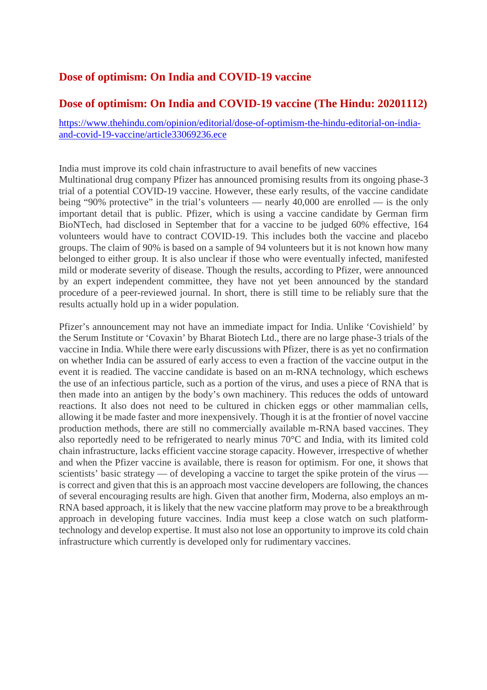#### **Dose of optimism: On India and COVID-19 vaccine**

#### **Dose of optimism: On India and COVID-19 vaccine (The Hindu: 20201112)**

https://www.thehindu.com/opinion/editorial/dose-of-optimism-the-hindu-editorial-on-indiaand-covid-19-vaccine/article33069236.ece

India must improve its cold chain infrastructure to avail benefits of new vaccines Multinational drug company Pfizer has announced promising results from its ongoing phase-3 trial of a potential COVID-19 vaccine. However, these early results, of the vaccine candidate being "90% protective" in the trial's volunteers — nearly  $40,000$  are enrolled — is the only important detail that is public. Pfizer, which is using a vaccine candidate by German firm BioNTech, had disclosed in September that for a vaccine to be judged 60% effective, 164 volunteers would have to contract COVID-19. This includes both the vaccine and placebo groups. The claim of 90% is based on a sample of 94 volunteers but it is not known how many belonged to either group. It is also unclear if those who were eventually infected, manifested mild or moderate severity of disease. Though the results, according to Pfizer, were announced by an expert independent committee, they have not yet been announced by the standard procedure of a peer-reviewed journal. In short, there is still time to be reliably sure that the results actually hold up in a wider population.

Pfizer's announcement may not have an immediate impact for India. Unlike 'Covishield' by the Serum Institute or 'Covaxin' by Bharat Biotech Ltd., there are no large phase-3 trials of the vaccine in India. While there were early discussions with Pfizer, there is as yet no confirmation on whether India can be assured of early access to even a fraction of the vaccine output in the event it is readied. The vaccine candidate is based on an m-RNA technology, which eschews the use of an infectious particle, such as a portion of the virus, and uses a piece of RNA that is then made into an antigen by the body's own machinery. This reduces the odds of untoward reactions. It also does not need to be cultured in chicken eggs or other mammalian cells, allowing it be made faster and more inexpensively. Though it is at the frontier of novel vaccine production methods, there are still no commercially available m-RNA based vaccines. They also reportedly need to be refrigerated to nearly minus 70°C and India, with its limited cold chain infrastructure, lacks efficient vaccine storage capacity. However, irrespective of whether and when the Pfizer vaccine is available, there is reason for optimism. For one, it shows that scientists' basic strategy — of developing a vaccine to target the spike protein of the virus is correct and given that this is an approach most vaccine developers are following, the chances of several encouraging results are high. Given that another firm, Moderna, also employs an m-RNA based approach, it is likely that the new vaccine platform may prove to be a breakthrough approach in developing future vaccines. India must keep a close watch on such platformtechnology and develop expertise. It must also not lose an opportunity to improve its cold chain infrastructure which currently is developed only for rudimentary vaccines.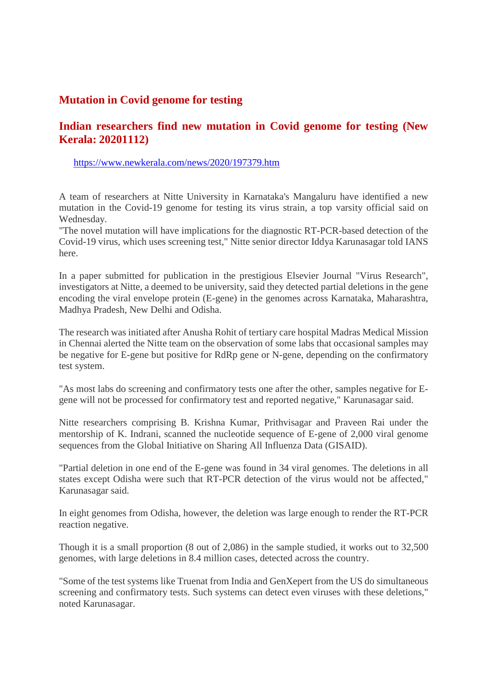#### **Mutation in Covid genome for testing**

## **Indian researchers find new mutation in Covid genome for testing (New Kerala: 20201112)**

https://www.newkerala.com/news/2020/197379.htm

A team of researchers at Nitte University in Karnataka's Mangaluru have identified a new mutation in the Covid-19 genome for testing its virus strain, a top varsity official said on Wednesday.

"The novel mutation will have implications for the diagnostic RT-PCR-based detection of the Covid-19 virus, which uses screening test," Nitte senior director Iddya Karunasagar told IANS here.

In a paper submitted for publication in the prestigious Elsevier Journal "Virus Research", investigators at Nitte, a deemed to be university, said they detected partial deletions in the gene encoding the viral envelope protein (E-gene) in the genomes across Karnataka, Maharashtra, Madhya Pradesh, New Delhi and Odisha.

The research was initiated after Anusha Rohit of tertiary care hospital Madras Medical Mission in Chennai alerted the Nitte team on the observation of some labs that occasional samples may be negative for E-gene but positive for RdRp gene or N-gene, depending on the confirmatory test system.

"As most labs do screening and confirmatory tests one after the other, samples negative for Egene will not be processed for confirmatory test and reported negative," Karunasagar said.

Nitte researchers comprising B. Krishna Kumar, Prithvisagar and Praveen Rai under the mentorship of K. Indrani, scanned the nucleotide sequence of E-gene of 2,000 viral genome sequences from the Global Initiative on Sharing All Influenza Data (GISAID).

"Partial deletion in one end of the E-gene was found in 34 viral genomes. The deletions in all states except Odisha were such that RT-PCR detection of the virus would not be affected," Karunasagar said.

In eight genomes from Odisha, however, the deletion was large enough to render the RT-PCR reaction negative.

Though it is a small proportion (8 out of 2,086) in the sample studied, it works out to 32,500 genomes, with large deletions in 8.4 million cases, detected across the country.

"Some of the test systems like Truenat from India and GenXepert from the US do simultaneous screening and confirmatory tests. Such systems can detect even viruses with these deletions," noted Karunasagar.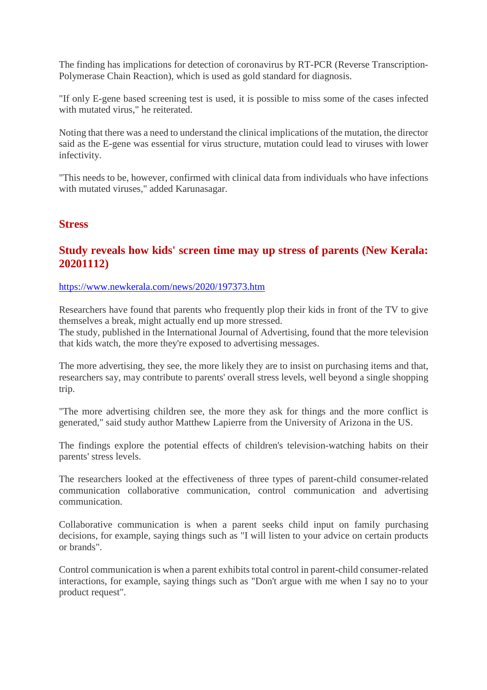The finding has implications for detection of coronavirus by RT-PCR (Reverse Transcription-Polymerase Chain Reaction), which is used as gold standard for diagnosis.

"If only E-gene based screening test is used, it is possible to miss some of the cases infected with mutated virus," he reiterated.

Noting that there was a need to understand the clinical implications of the mutation, the director said as the E-gene was essential for virus structure, mutation could lead to viruses with lower infectivity.

"This needs to be, however, confirmed with clinical data from individuals who have infections with mutated viruses," added Karunasagar.

#### **Stress**

#### **Study reveals how kids' screen time may up stress of parents (New Kerala: 20201112)**

#### https://www.newkerala.com/news/2020/197373.htm

Researchers have found that parents who frequently plop their kids in front of the TV to give themselves a break, might actually end up more stressed.

The study, published in the International Journal of Advertising, found that the more television that kids watch, the more they're exposed to advertising messages.

The more advertising, they see, the more likely they are to insist on purchasing items and that, researchers say, may contribute to parents' overall stress levels, well beyond a single shopping trip.

"The more advertising children see, the more they ask for things and the more conflict is generated," said study author Matthew Lapierre from the University of Arizona in the US.

The findings explore the potential effects of children's television-watching habits on their parents' stress levels.

The researchers looked at the effectiveness of three types of parent-child consumer-related communication collaborative communication, control communication and advertising communication.

Collaborative communication is when a parent seeks child input on family purchasing decisions, for example, saying things such as "I will listen to your advice on certain products or brands".

Control communication is when a parent exhibits total control in parent-child consumer-related interactions, for example, saying things such as "Don't argue with me when I say no to your product request".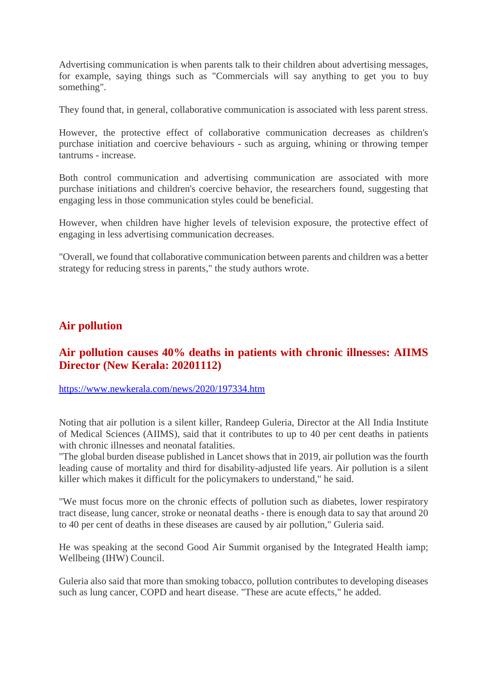Advertising communication is when parents talk to their children about advertising messages, for example, saying things such as "Commercials will say anything to get you to buy something".

They found that, in general, collaborative communication is associated with less parent stress.

However, the protective effect of collaborative communication decreases as children's purchase initiation and coercive behaviours - such as arguing, whining or throwing temper tantrums - increase.

Both control communication and advertising communication are associated with more purchase initiations and children's coercive behavior, the researchers found, suggesting that engaging less in those communication styles could be beneficial.

However, when children have higher levels of television exposure, the protective effect of engaging in less advertising communication decreases.

"Overall, we found that collaborative communication between parents and children was a better strategy for reducing stress in parents," the study authors wrote.

#### **Air pollution**

## **Air pollution causes 40% deaths in patients with chronic illnesses: AIIMS Director (New Kerala: 20201112)**

https://www.newkerala.com/news/2020/197334.htm

Noting that air pollution is a silent killer, Randeep Guleria, Director at the All India Institute of Medical Sciences (AIIMS), said that it contributes to up to 40 per cent deaths in patients with chronic illnesses and neonatal fatalities.

"The global burden disease published in Lancet shows that in 2019, air pollution was the fourth leading cause of mortality and third for disability-adjusted life years. Air pollution is a silent killer which makes it difficult for the policymakers to understand," he said.

"We must focus more on the chronic effects of pollution such as diabetes, lower respiratory tract disease, lung cancer, stroke or neonatal deaths - there is enough data to say that around 20 to 40 per cent of deaths in these diseases are caused by air pollution," Guleria said.

He was speaking at the second Good Air Summit organised by the Integrated Health iamp; Wellbeing (IHW) Council.

Guleria also said that more than smoking tobacco, pollution contributes to developing diseases such as lung cancer, COPD and heart disease. "These are acute effects," he added.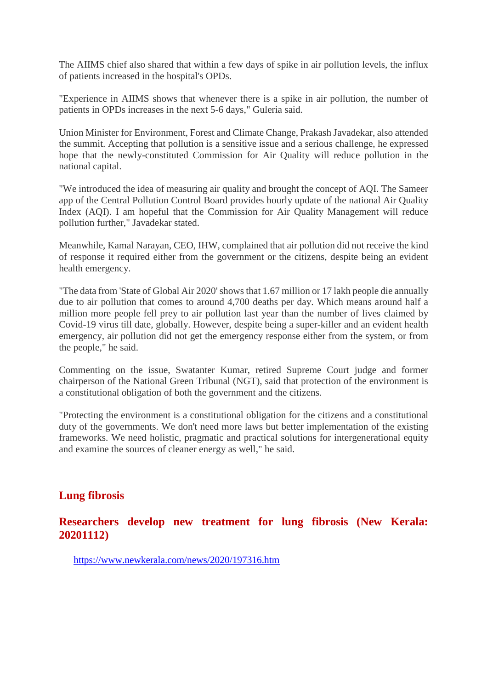The AIIMS chief also shared that within a few days of spike in air pollution levels, the influx of patients increased in the hospital's OPDs.

"Experience in AIIMS shows that whenever there is a spike in air pollution, the number of patients in OPDs increases in the next 5-6 days," Guleria said.

Union Minister for Environment, Forest and Climate Change, Prakash Javadekar, also attended the summit. Accepting that pollution is a sensitive issue and a serious challenge, he expressed hope that the newly-constituted Commission for Air Quality will reduce pollution in the national capital.

"We introduced the idea of measuring air quality and brought the concept of AQI. The Sameer app of the Central Pollution Control Board provides hourly update of the national Air Quality Index (AQI). I am hopeful that the Commission for Air Quality Management will reduce pollution further," Javadekar stated.

Meanwhile, Kamal Narayan, CEO, IHW, complained that air pollution did not receive the kind of response it required either from the government or the citizens, despite being an evident health emergency.

"The data from 'State of Global Air 2020' shows that 1.67 million or 17 lakh people die annually due to air pollution that comes to around 4,700 deaths per day. Which means around half a million more people fell prey to air pollution last year than the number of lives claimed by Covid-19 virus till date, globally. However, despite being a super-killer and an evident health emergency, air pollution did not get the emergency response either from the system, or from the people," he said.

Commenting on the issue, Swatanter Kumar, retired Supreme Court judge and former chairperson of the National Green Tribunal (NGT), said that protection of the environment is a constitutional obligation of both the government and the citizens.

"Protecting the environment is a constitutional obligation for the citizens and a constitutional duty of the governments. We don't need more laws but better implementation of the existing frameworks. We need holistic, pragmatic and practical solutions for intergenerational equity and examine the sources of cleaner energy as well," he said.

## **Lung fibrosis**

#### **Researchers develop new treatment for lung fibrosis (New Kerala: 20201112)**

https://www.newkerala.com/news/2020/197316.htm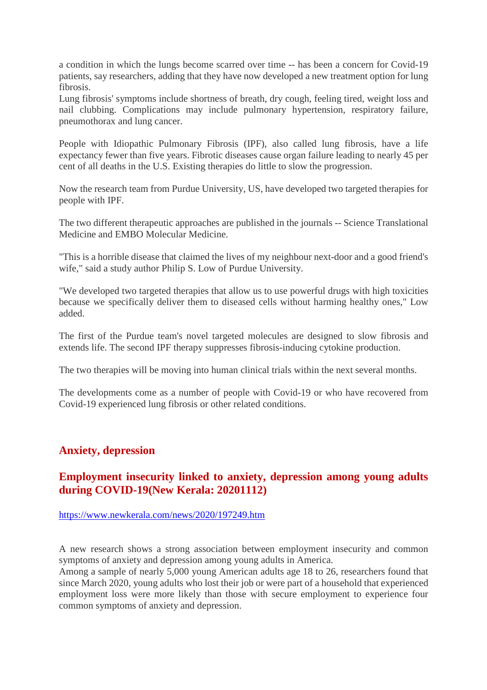a condition in which the lungs become scarred over time -- has been a concern for Covid-19 patients, say researchers, adding that they have now developed a new treatment option for lung fibrosis.

Lung fibrosis' symptoms include shortness of breath, dry cough, feeling tired, weight loss and nail clubbing. Complications may include pulmonary hypertension, respiratory failure, pneumothorax and lung cancer.

People with Idiopathic Pulmonary Fibrosis (IPF), also called lung fibrosis, have a life expectancy fewer than five years. Fibrotic diseases cause organ failure leading to nearly 45 per cent of all deaths in the U.S. Existing therapies do little to slow the progression.

Now the research team from Purdue University, US, have developed two targeted therapies for people with IPF.

The two different therapeutic approaches are published in the journals -- Science Translational Medicine and EMBO Molecular Medicine.

"This is a horrible disease that claimed the lives of my neighbour next-door and a good friend's wife," said a study author Philip S. Low of Purdue University.

"We developed two targeted therapies that allow us to use powerful drugs with high toxicities because we specifically deliver them to diseased cells without harming healthy ones," Low added.

The first of the Purdue team's novel targeted molecules are designed to slow fibrosis and extends life. The second IPF therapy suppresses fibrosis-inducing cytokine production.

The two therapies will be moving into human clinical trials within the next several months.

The developments come as a number of people with Covid-19 or who have recovered from Covid-19 experienced lung fibrosis or other related conditions.

#### **Anxiety, depression**

#### **Employment insecurity linked to anxiety, depression among young adults during COVID-19(New Kerala: 20201112)**

https://www.newkerala.com/news/2020/197249.htm

A new research shows a strong association between employment insecurity and common symptoms of anxiety and depression among young adults in America.

Among a sample of nearly 5,000 young American adults age 18 to 26, researchers found that since March 2020, young adults who lost their job or were part of a household that experienced employment loss were more likely than those with secure employment to experience four common symptoms of anxiety and depression.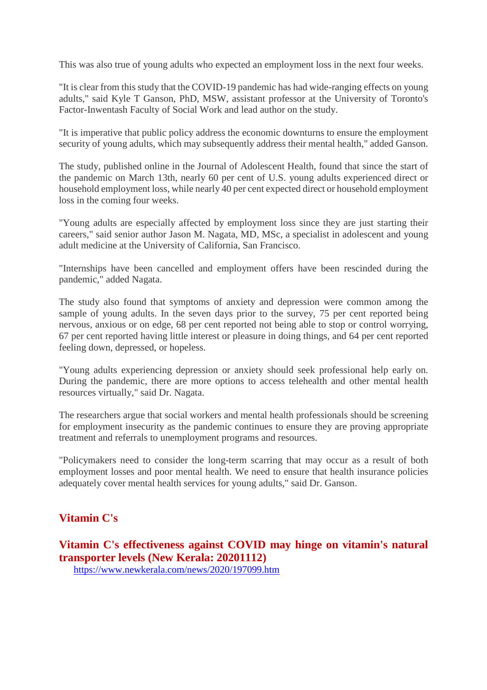This was also true of young adults who expected an employment loss in the next four weeks.

"It is clear from this study that the COVID-19 pandemic has had wide-ranging effects on young adults," said Kyle T Ganson, PhD, MSW, assistant professor at the University of Toronto's Factor-Inwentash Faculty of Social Work and lead author on the study.

"It is imperative that public policy address the economic downturns to ensure the employment security of young adults, which may subsequently address their mental health," added Ganson.

The study, published online in the Journal of Adolescent Health, found that since the start of the pandemic on March 13th, nearly 60 per cent of U.S. young adults experienced direct or household employment loss, while nearly 40 per cent expected direct or household employment loss in the coming four weeks.

"Young adults are especially affected by employment loss since they are just starting their careers," said senior author Jason M. Nagata, MD, MSc, a specialist in adolescent and young adult medicine at the University of California, San Francisco.

"Internships have been cancelled and employment offers have been rescinded during the pandemic," added Nagata.

The study also found that symptoms of anxiety and depression were common among the sample of young adults. In the seven days prior to the survey, 75 per cent reported being nervous, anxious or on edge, 68 per cent reported not being able to stop or control worrying, 67 per cent reported having little interest or pleasure in doing things, and 64 per cent reported feeling down, depressed, or hopeless.

"Young adults experiencing depression or anxiety should seek professional help early on. During the pandemic, there are more options to access telehealth and other mental health resources virtually," said Dr. Nagata.

The researchers argue that social workers and mental health professionals should be screening for employment insecurity as the pandemic continues to ensure they are proving appropriate treatment and referrals to unemployment programs and resources.

"Policymakers need to consider the long-term scarring that may occur as a result of both employment losses and poor mental health. We need to ensure that health insurance policies adequately cover mental health services for young adults," said Dr. Ganson.

## **Vitamin C's**

**Vitamin C's effectiveness against COVID may hinge on vitamin's natural transporter levels (New Kerala: 20201112)**

https://www.newkerala.com/news/2020/197099.htm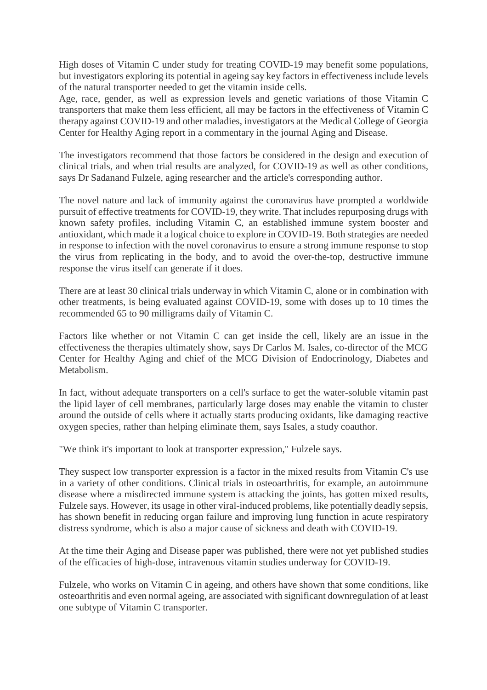High doses of Vitamin C under study for treating COVID-19 may benefit some populations, but investigators exploring its potential in ageing say key factors in effectiveness include levels of the natural transporter needed to get the vitamin inside cells.

Age, race, gender, as well as expression levels and genetic variations of those Vitamin C transporters that make them less efficient, all may be factors in the effectiveness of Vitamin C therapy against COVID-19 and other maladies, investigators at the Medical College of Georgia Center for Healthy Aging report in a commentary in the journal Aging and Disease.

The investigators recommend that those factors be considered in the design and execution of clinical trials, and when trial results are analyzed, for COVID-19 as well as other conditions, says Dr Sadanand Fulzele, aging researcher and the article's corresponding author.

The novel nature and lack of immunity against the coronavirus have prompted a worldwide pursuit of effective treatments for COVID-19, they write. That includes repurposing drugs with known safety profiles, including Vitamin C, an established immune system booster and antioxidant, which made it a logical choice to explore in COVID-19. Both strategies are needed in response to infection with the novel coronavirus to ensure a strong immune response to stop the virus from replicating in the body, and to avoid the over-the-top, destructive immune response the virus itself can generate if it does.

There are at least 30 clinical trials underway in which Vitamin C, alone or in combination with other treatments, is being evaluated against COVID-19, some with doses up to 10 times the recommended 65 to 90 milligrams daily of Vitamin C.

Factors like whether or not Vitamin C can get inside the cell, likely are an issue in the effectiveness the therapies ultimately show, says Dr Carlos M. Isales, co-director of the MCG Center for Healthy Aging and chief of the MCG Division of Endocrinology, Diabetes and Metabolism.

In fact, without adequate transporters on a cell's surface to get the water-soluble vitamin past the lipid layer of cell membranes, particularly large doses may enable the vitamin to cluster around the outside of cells where it actually starts producing oxidants, like damaging reactive oxygen species, rather than helping eliminate them, says Isales, a study coauthor.

"We think it's important to look at transporter expression," Fulzele says.

They suspect low transporter expression is a factor in the mixed results from Vitamin C's use in a variety of other conditions. Clinical trials in osteoarthritis, for example, an autoimmune disease where a misdirected immune system is attacking the joints, has gotten mixed results, Fulzele says. However, its usage in other viral-induced problems, like potentially deadly sepsis, has shown benefit in reducing organ failure and improving lung function in acute respiratory distress syndrome, which is also a major cause of sickness and death with COVID-19.

At the time their Aging and Disease paper was published, there were not yet published studies of the efficacies of high-dose, intravenous vitamin studies underway for COVID-19.

Fulzele, who works on Vitamin C in ageing, and others have shown that some conditions, like osteoarthritis and even normal ageing, are associated with significant downregulation of at least one subtype of Vitamin C transporter.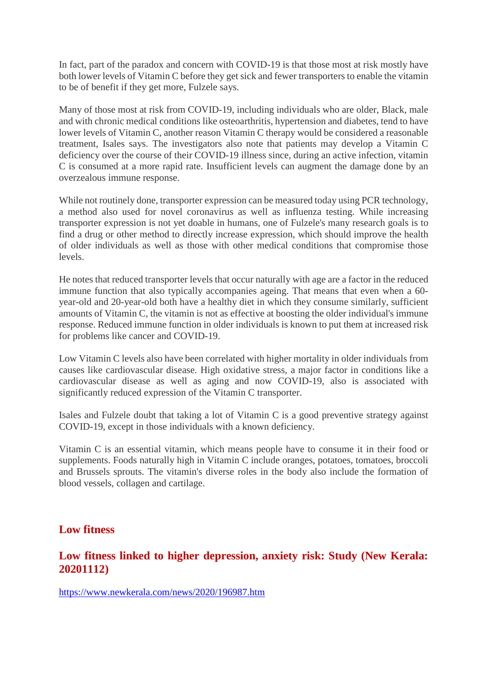In fact, part of the paradox and concern with COVID-19 is that those most at risk mostly have both lower levels of Vitamin C before they get sick and fewer transporters to enable the vitamin to be of benefit if they get more, Fulzele says.

Many of those most at risk from COVID-19, including individuals who are older, Black, male and with chronic medical conditions like osteoarthritis, hypertension and diabetes, tend to have lower levels of Vitamin C, another reason Vitamin C therapy would be considered a reasonable treatment, Isales says. The investigators also note that patients may develop a Vitamin C deficiency over the course of their COVID-19 illness since, during an active infection, vitamin C is consumed at a more rapid rate. Insufficient levels can augment the damage done by an overzealous immune response.

While not routinely done, transporter expression can be measured today using PCR technology, a method also used for novel coronavirus as well as influenza testing. While increasing transporter expression is not yet doable in humans, one of Fulzele's many research goals is to find a drug or other method to directly increase expression, which should improve the health of older individuals as well as those with other medical conditions that compromise those levels.

He notes that reduced transporter levels that occur naturally with age are a factor in the reduced immune function that also typically accompanies ageing. That means that even when a 60 year-old and 20-year-old both have a healthy diet in which they consume similarly, sufficient amounts of Vitamin C, the vitamin is not as effective at boosting the older individual's immune response. Reduced immune function in older individuals is known to put them at increased risk for problems like cancer and COVID-19.

Low Vitamin C levels also have been correlated with higher mortality in older individuals from causes like cardiovascular disease. High oxidative stress, a major factor in conditions like a cardiovascular disease as well as aging and now COVID-19, also is associated with significantly reduced expression of the Vitamin C transporter.

Isales and Fulzele doubt that taking a lot of Vitamin C is a good preventive strategy against COVID-19, except in those individuals with a known deficiency.

Vitamin C is an essential vitamin, which means people have to consume it in their food or supplements. Foods naturally high in Vitamin C include oranges, potatoes, tomatoes, broccoli and Brussels sprouts. The vitamin's diverse roles in the body also include the formation of blood vessels, collagen and cartilage.

## **Low fitness**

#### **Low fitness linked to higher depression, anxiety risk: Study (New Kerala: 20201112)**

https://www.newkerala.com/news/2020/196987.htm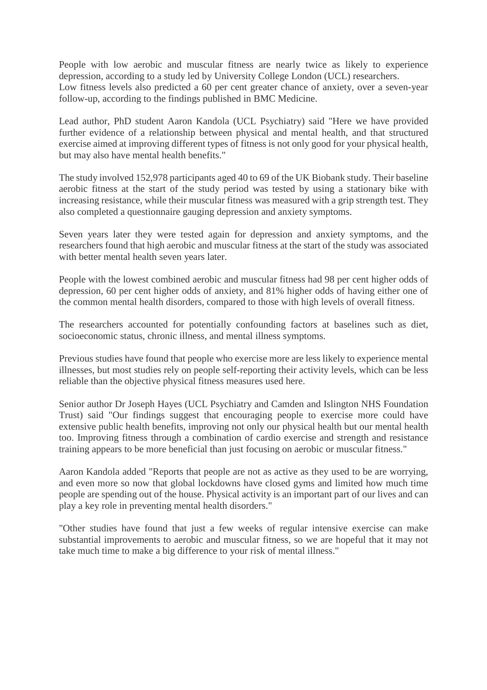People with low aerobic and muscular fitness are nearly twice as likely to experience depression, according to a study led by University College London (UCL) researchers. Low fitness levels also predicted a 60 per cent greater chance of anxiety, over a seven-year follow-up, according to the findings published in BMC Medicine.

Lead author, PhD student Aaron Kandola (UCL Psychiatry) said "Here we have provided further evidence of a relationship between physical and mental health, and that structured exercise aimed at improving different types of fitness is not only good for your physical health, but may also have mental health benefits."

The study involved 152,978 participants aged 40 to 69 of the UK Biobank study. Their baseline aerobic fitness at the start of the study period was tested by using a stationary bike with increasing resistance, while their muscular fitness was measured with a grip strength test. They also completed a questionnaire gauging depression and anxiety symptoms.

Seven years later they were tested again for depression and anxiety symptoms, and the researchers found that high aerobic and muscular fitness at the start of the study was associated with better mental health seven years later.

People with the lowest combined aerobic and muscular fitness had 98 per cent higher odds of depression, 60 per cent higher odds of anxiety, and 81% higher odds of having either one of the common mental health disorders, compared to those with high levels of overall fitness.

The researchers accounted for potentially confounding factors at baselines such as diet, socioeconomic status, chronic illness, and mental illness symptoms.

Previous studies have found that people who exercise more are less likely to experience mental illnesses, but most studies rely on people self-reporting their activity levels, which can be less reliable than the objective physical fitness measures used here.

Senior author Dr Joseph Hayes (UCL Psychiatry and Camden and Islington NHS Foundation Trust) said "Our findings suggest that encouraging people to exercise more could have extensive public health benefits, improving not only our physical health but our mental health too. Improving fitness through a combination of cardio exercise and strength and resistance training appears to be more beneficial than just focusing on aerobic or muscular fitness."

Aaron Kandola added "Reports that people are not as active as they used to be are worrying, and even more so now that global lockdowns have closed gyms and limited how much time people are spending out of the house. Physical activity is an important part of our lives and can play a key role in preventing mental health disorders."

"Other studies have found that just a few weeks of regular intensive exercise can make substantial improvements to aerobic and muscular fitness, so we are hopeful that it may not take much time to make a big difference to your risk of mental illness."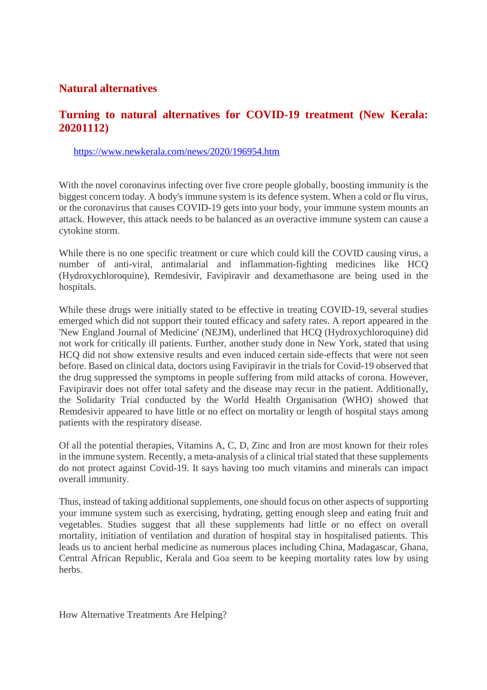## **Natural alternatives**

#### **Turning to natural alternatives for COVID-19 treatment (New Kerala: 20201112)**

https://www.newkerala.com/news/2020/196954.htm

With the novel coronavirus infecting over five crore people globally, boosting immunity is the biggest concern today. A body's immune system is its defence system. When a cold or flu virus, or the coronavirus that causes COVID-19 gets into your body, your immune system mounts an attack. However, this attack needs to be balanced as an overactive immune system can cause a cytokine storm.

While there is no one specific treatment or cure which could kill the COVID causing virus, a number of anti-viral, antimalarial and inflammation-fighting medicines like HCQ (Hydroxychloroquine), Remdesivir, Favipiravir and dexamethasone are being used in the hospitals.

While these drugs were initially stated to be effective in treating COVID-19, several studies emerged which did not support their touted efficacy and safety rates. A report appeared in the 'New England Journal of Medicine' (NEJM), underlined that HCQ (Hydroxychloroquine) did not work for critically ill patients. Further, another study done in New York, stated that using HCQ did not show extensive results and even induced certain side-effects that were not seen before. Based on clinical data, doctors using Favipiravir in the trials for Covid-19 observed that the drug suppressed the symptoms in people suffering from mild attacks of corona. However, Favipiravir does not offer total safety and the disease may recur in the patient. Additionally, the Solidarity Trial conducted by the World Health Organisation (WHO) showed that Remdesivir appeared to have little or no effect on mortality or length of hospital stays among patients with the respiratory disease.

Of all the potential therapies, Vitamins A, C, D, Zinc and Iron are most known for their roles in the immune system. Recently, a meta-analysis of a clinical trial stated that these supplements do not protect against Covid-19. It says having too much vitamins and minerals can impact overall immunity.

Thus, instead of taking additional supplements, one should focus on other aspects of supporting your immune system such as exercising, hydrating, getting enough sleep and eating fruit and vegetables. Studies suggest that all these supplements had little or no effect on overall mortality, initiation of ventilation and duration of hospital stay in hospitalised patients. This leads us to ancient herbal medicine as numerous places including China, Madagascar, Ghana, Central African Republic, Kerala and Goa seem to be keeping mortality rates low by using herbs.

How Alternative Treatments Are Helping?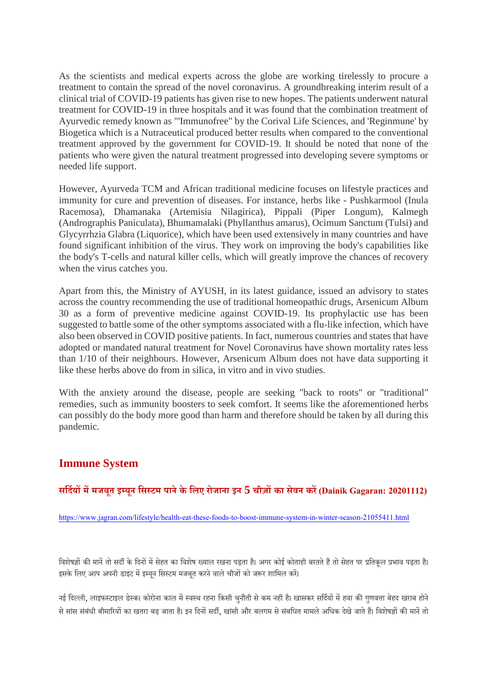As the scientists and medical experts across the globe are working tirelessly to procure a treatment to contain the spread of the novel coronavirus. A groundbreaking interim result of a clinical trial of COVID-19 patients has given rise to new hopes. The patients underwent natural treatment for COVID-19 in three hospitals and it was found that the combination treatment of Ayurvedic remedy known as "'Immunofree" by the Corival Life Sciences, and 'Reginmune' by Biogetica which is a Nutraceutical produced better results when compared to the conventional treatment approved by the government for COVID-19. It should be noted that none of the patients who were given the natural treatment progressed into developing severe symptoms or needed life support.

However, Ayurveda TCM and African traditional medicine focuses on lifestyle practices and immunity for cure and prevention of diseases. For instance, herbs like - Pushkarmool (Inula Racemosa), Dhamanaka (Artemisia Nilagirica), Pippali (Piper Longum), Kalmegh (Andrographis Paniculata), Bhumamalaki (Phyllanthus amarus), Ocimum Sanctum (Tulsi) and Glycyrrhzia Glabra (Liquorice), which have been used extensively in many countries and have found significant inhibition of the virus. They work on improving the body's capabilities like the body's T-cells and natural killer cells, which will greatly improve the chances of recovery when the virus catches you.

Apart from this, the Ministry of AYUSH, in its latest guidance, issued an advisory to states across the country recommending the use of traditional homeopathic drugs, Arsenicum Album 30 as a form of preventive medicine against COVID-19. Its prophylactic use has been suggested to battle some of the other symptoms associated with a flu-like infection, which have also been observed in COVID positive patients. In fact, numerous countries and states that have adopted or mandated natural treatment for Novel Coronavirus have shown mortality rates less than 1/10 of their neighbours. However, Arsenicum Album does not have data supporting it like these herbs above do from in silica, in vitro and in vivo studies.

With the anxiety around the disease, people are seeking "back to roots" or "traditional" remedies, such as immunity boosters to seek comfort. It seems like the aforementioned herbs can possibly do the body more good than harm and therefore should be taken by all during this pandemic.

## **Immune System**

#### **सिदयममजबूत इयून िसटम पानेके िलए रोजाना इन 5 चीज़का सेवन कर(Dainik Gagaran: 20201112)**

https://www.jagran.com/lifestyle/health-eat-these-foods-to-boost-immune-system-in-winter-season-21055411.html

विशेषज्ञों की मानें तो सर्दी के दिनों में सेहत का विशेष ख्याल रखना पड़ता है। अगर कोई कोताही बरतते हैं तो सेहत पर प्रतिकल प्रभाव पड़ता है। इसके लिए आप अपनी डाइट में इम्युन सिस्टम मजबूत करने वाले चीजों को जरूर शामिल करें।

नई दिल्ली, लाइफस्टाइल डेस्क। कोरोना काल में स्वस्थ रहना किसी चनौती से कम नहीं है। खासकर सर्दियों में हवा की गणवत्ता बेहद खराब होने से सांस संबंधी बीमारियों का खतरा बढ़ जाता है। इन दिनों सर्दी, खांसी और बलगम से संबधित मामले अधिक देखे जाते हैं। विशेषज्ञों की मानें तो